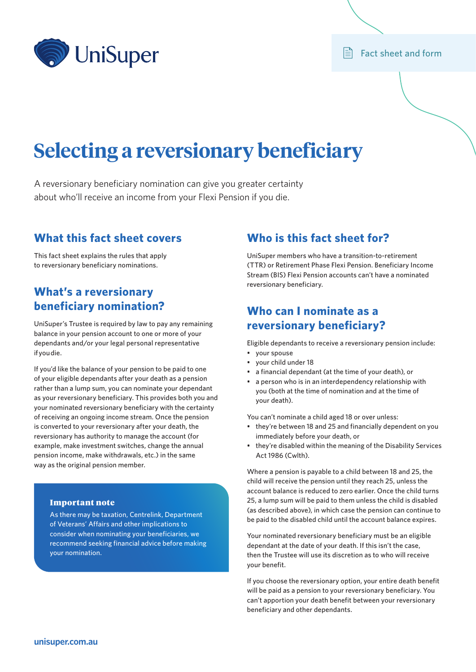

## $\mathbf{F}$  Fact sheet and form

# **Selecting a reversionary beneficiary**

A reversionary beneficiary nomination can give you greater certainty about who'll receive an income from your Flexi Pension if you die.

## **What this fact sheet covers**

This fact sheet explains the rules that apply to reversionary beneficiary nominations.

# **What's a reversionary beneficiary nomination?**

UniSuper's Trustee is required by law to pay any remaining balance in your pension account to one or more of your dependants and/or your legal personal representative if you die.

If you'd like the balance of your pension to be paid to one of your eligible dependants after your death as a pension rather than a lump sum, you can nominate your dependant as your reversionary beneficiary. This provides both you and your nominated reversionary beneficiary with the certainty of receiving an ongoing income stream. Once the pension is converted to your reversionary after your death, the reversionary has authority to manage the account (for example, make investment switches, change the annual pension income, make withdrawals, etc.) in the same way as the original pension member.

## Important note

As there may be taxation, Centrelink, Department of Veterans' Affairs and other implications to consider when nominating your beneficiaries, we recommend seeking financial advice before making your nomination.

## **Who is this fact sheet for?**

UniSuper members who have a transition-to-retirement (TTR) or Retirement Phase Flexi Pension. Beneficiary Income Stream (BIS) Flexi Pension accounts can't have a nominated reversionary beneficiary.

# **Who can I nominate as a reversionary beneficiary?**

Eligible dependants to receive a reversionary pension include:

- your spouse
- your child under 18
- a financial dependant (at the time of your death), or
- a person who is in an interdependency relationship with you (both at the time of nomination and at the time of your death).

You can't nominate a child aged 18 or over unless:

- they're between 18 and 25 and financially dependent on you immediately before your death, or
- they're disabled within the meaning of the Disability Services Act 1986 (Cwlth).

Where a pension is payable to a child between 18 and 25, the child will receive the pension until they reach 25, unless the account balance is reduced to zero earlier. Once the child turns 25, a lump sum will be paid to them unless the child is disabled (as described above), in which case the pension can continue to be paid to the disabled child until the account balance expires.

Your nominated reversionary beneficiary must be an eligible dependant at the date of your death. If this isn't the case, then the Trustee will use its discretion as to who will receive your benefit.

If you choose the reversionary option, your entire death benefit will be paid as a pension to your reversionary beneficiary. You can't apportion your death benefit between your reversionary beneficiary and other dependants.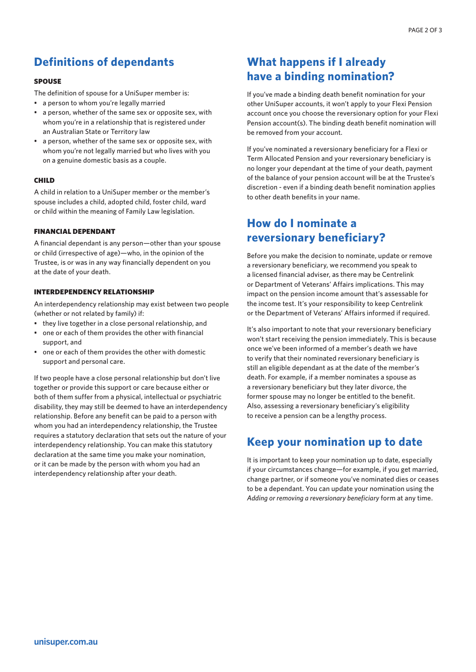# **Definitions of dependants**

### SPOUSE

The definition of spouse for a UniSuper member is:

- a person to whom you're legally married
- a person, whether of the same sex or opposite sex, with whom you're in a relationship that is registered under an Australian State or Territory law
- a person, whether of the same sex or opposite sex, with whom you're not legally married but who lives with you on a genuine domestic basis as a couple.

#### CHILD

A child in relation to a UniSuper member or the member's spouse includes a child, adopted child, foster child, ward or child within the meaning of Family Law legislation.

#### FINANCIAL DEPENDANT

A financial dependant is any person—other than your spouse or child (irrespective of age)—who, in the opinion of the Trustee, is or was in any way financially dependent on you at the date of your death.

## INTERDEPENDENCY RELATIONSHIP

An interdependency relationship may exist between two people (whether or not related by family) if:

- they live together in a close personal relationship, and
- one or each of them provides the other with financial support, and
- one or each of them provides the other with domestic support and personal care.

If two people have a close personal relationship but don't live together or provide this support or care because either or both of them suffer from a physical, intellectual or psychiatric disability, they may still be deemed to have an interdependency relationship. Before any benefit can be paid to a person with whom you had an interdependency relationship, the Trustee requires a statutory declaration that sets out the nature of your interdependency relationship. You can make this statutory declaration at the same time you make your nomination, or it can be made by the person with whom you had an interdependency relationship after your death.

# **What happens if I already have a binding nomination?**

If you've made a binding death benefit nomination for your other UniSuper accounts, it won't apply to your Flexi Pension account once you choose the reversionary option for your Flexi Pension account(s). The binding death benefit nomination will be removed from your account.

If you've nominated a reversionary beneficiary for a Flexi or Term Allocated Pension and your reversionary beneficiary is no longer your dependant at the time of your death, payment of the balance of your pension account will be at the Trustee's discretion - even if a binding death benefit nomination applies to other death benefits in your name.

# **How do I nominate a reversionary beneficiary?**

Before you make the decision to nominate, update or remove a reversionary beneficiary, we recommend you speak to a licensed financial adviser, as there may be Centrelink or Department of Veterans' Affairs implications. This may impact on the pension income amount that's assessable for the income test. It's your responsibility to keep Centrelink or the Department of Veterans' Affairs informed if required.

It's also important to note that your reversionary beneficiary won't start receiving the pension immediately. This is because once we've been informed of a member's death we have to verify that their nominated reversionary beneficiary is still an eligible dependant as at the date of the member's death. For example, if a member nominates a spouse as a reversionary beneficiary but they later divorce, the former spouse may no longer be entitled to the benefit. Also, assessing a reversionary beneficiary's eligibility to receive a pension can be a lengthy process.

## **Keep your nomination up to date**

It is important to keep your nomination up to date, especially if your circumstances change—for example, if you get married, change partner, or if someone you've nominated dies or ceases to be a dependant. You can update your nomination using the *Adding or removing a reversionary beneficiary* form at any time.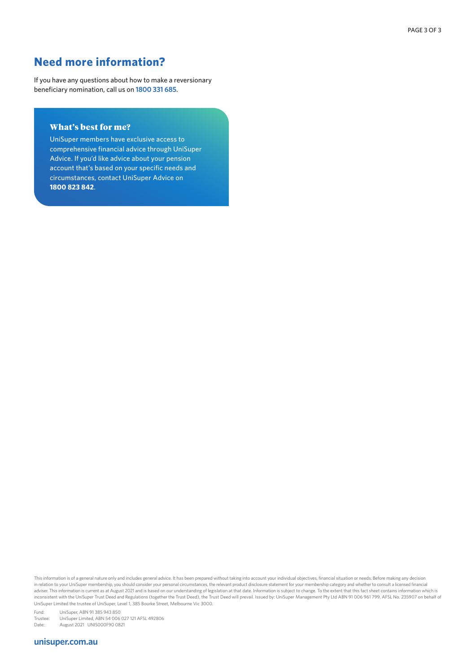## **Need more information?**

If you have any questions about how to make a reversionary beneficiary nomination, call us on **1800 331 685**.

## What's best for me?

UniSuper members have exclusive access to comprehensive financial advice through UniSuper Advice. If you'd like advice about your pension account that's based on your specific needs and circumstances, contact UniSuper Advice on **1800 823 842**.

This information is of a general nature only and includes general advice. It has been prepared without taking into account your individual objectives, financial situation or needs. Before making any decision in relation to your UniSuper membership, you should consider your personal circumstances, the relevant product disclosure statement for your membership category and whether to consult a licensed financial adviser. This information is current as at August 2021 and is based on our understanding of legislation at that date. Information is subject to change. To the extent that this fact sheet contains information which is inconsistent with the UniSuper Trust Deed and Regulations (together the Trust Deed), the Trust Deed will prevail. Issued by: UniSuper Management Pty Ltd ABN 91 006 961 799, AFSL No. 235907 on behalf of UniSuper Limited the trustee of UniSuper, Level 1, 385 Bourke Street, Melbourne Vic 3000.

Fund: UniSuper, ABN 91 385 943 850

Trustee: UniSuper Limited, ABN 54 006 027 121 AFSL 492806<br>Date: August 2021 UNISO00F90 0821 August 2021 UNIS000F90 0821

## **[unisuper.com.au](http://unisuper.com.au)**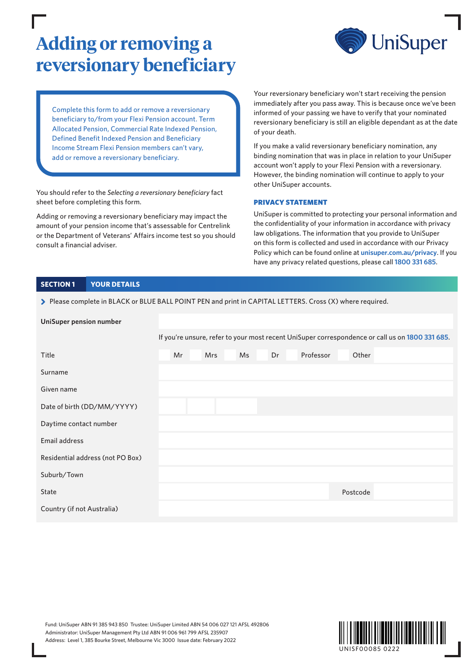# **Adding or removing a reversionary beneficiary**



Complete this form to add or remove a reversionary beneficiary to/from your Flexi Pension account. Term Allocated Pension, Commercial Rate Indexed Pension, Defined Benefit Indexed Pension and Beneficiary Income Stream Flexi Pension members can't vary, add or remove a reversionary beneficiary.

You should refer to the *Selecting a reversionary beneficiary* fact sheet before completing this form.

Adding or removing a reversionary beneficiary may impact the amount of your pension income that's assessable for Centrelink or the Department of Veterans' Affairs income test so you should consult a financial adviser.

Your reversionary beneficiary won't start receiving the pension immediately after you pass away. This is because once we've been informed of your passing we have to verify that your nominated reversionary beneficiary is still an eligible dependant as at the date of your death.

If you make a valid reversionary beneficiary nomination, any binding nomination that was in place in relation to your UniSuper account won't apply to your Flexi Pension with a reversionary. However, the binding nomination will continue to apply to your other UniSuper accounts.

### PRIVACY STATEMENT

UniSuper is committed to protecting your personal information and the confidentiality of your information in accordance with privacy law obligations. The information that you provide to UniSuper on this form is collected and used in accordance with our Privacy Policy which can be found online at **[unisuper.com.au/privacy](http://unisuper.com.au/privacy)** . If you have any privacy related questions, please call **1800 331 685**.

## **SECTION 1 YOUR DETAILS**

> Please complete in BLACK or BLUE BALL POINT PEN and print in CAPITAL LETTERS. Cross (X) where required.

| <b>UniSuper pension number</b>   |                                                                                                 |    |  |            |    |    |  |           |  |          |  |  |
|----------------------------------|-------------------------------------------------------------------------------------------------|----|--|------------|----|----|--|-----------|--|----------|--|--|
|                                  | If you're unsure, refer to your most recent UniSuper correspondence or call us on 1800 331 685. |    |  |            |    |    |  |           |  |          |  |  |
| Title                            |                                                                                                 | Mr |  | <b>Mrs</b> | Ms | Dr |  | Professor |  | Other    |  |  |
| Surname                          |                                                                                                 |    |  |            |    |    |  |           |  |          |  |  |
| Given name                       |                                                                                                 |    |  |            |    |    |  |           |  |          |  |  |
| Date of birth (DD/MM/YYYY)       |                                                                                                 |    |  |            |    |    |  |           |  |          |  |  |
| Daytime contact number           |                                                                                                 |    |  |            |    |    |  |           |  |          |  |  |
| Email address                    |                                                                                                 |    |  |            |    |    |  |           |  |          |  |  |
| Residential address (not PO Box) |                                                                                                 |    |  |            |    |    |  |           |  |          |  |  |
| Suburb/Town                      |                                                                                                 |    |  |            |    |    |  |           |  |          |  |  |
| State                            |                                                                                                 |    |  |            |    |    |  |           |  | Postcode |  |  |
| Country (if not Australia)       |                                                                                                 |    |  |            |    |    |  |           |  |          |  |  |

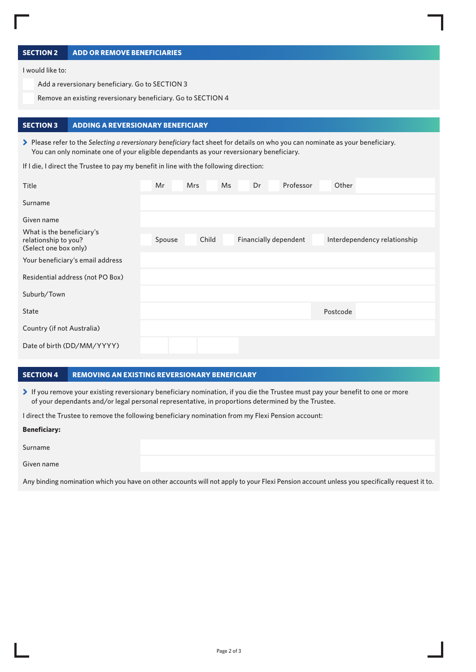## **SECTION 2 ADD OR REMOVE BENEFICIARIES**

I would like to:

Add a reversionary beneficiary. Go to SECTION 3

Remove an existing reversionary beneficiary. Go to SECTION 4

#### **SECTION 3 ADDING A REVERSIONARY BENEFICIARY**

> Please refer to the *Selecting a reversionary beneficiary* fact sheet for details on who you can nominate as your beneficiary. You can only nominate one of your eligible dependants as your reversionary beneficiary.

If I die, I direct the Trustee to pay my benefit in line with the following direction:

| Title                                                                      | Mr     | <b>Mrs</b> |       | Ms | Dr | Professor             | Other    |                              |  |
|----------------------------------------------------------------------------|--------|------------|-------|----|----|-----------------------|----------|------------------------------|--|
| Surname                                                                    |        |            |       |    |    |                       |          |                              |  |
| Given name                                                                 |        |            |       |    |    |                       |          |                              |  |
| What is the beneficiary's<br>relationship to you?<br>(Select one box only) | Spouse |            | Child |    |    | Financially dependent |          | Interdependency relationship |  |
| Your beneficiary's email address                                           |        |            |       |    |    |                       |          |                              |  |
| Residential address (not PO Box)                                           |        |            |       |    |    |                       |          |                              |  |
| Suburb/Town                                                                |        |            |       |    |    |                       |          |                              |  |
| <b>State</b>                                                               |        |            |       |    |    |                       | Postcode |                              |  |
| Country (if not Australia)                                                 |        |            |       |    |    |                       |          |                              |  |
| Date of birth (DD/MM/YYYY)                                                 |        |            |       |    |    |                       |          |                              |  |

## **SECTION 4 REMOVING AN EXISTING REVERSIONARY BENEFICIARY**

> If you remove your existing reversionary beneficiary nomination, if you die the Trustee must pay your benefit to one or more of your dependants and/or legal personal representative, in proportions determined by the Trustee.

I direct the Trustee to remove the following beneficiary nomination from my Flexi Pension account:

#### **Beneficiary:**

| Surname    |  |
|------------|--|
| Given name |  |

Any binding nomination which you have on other accounts will not apply to your Flexi Pension account unless you specifically request it to.